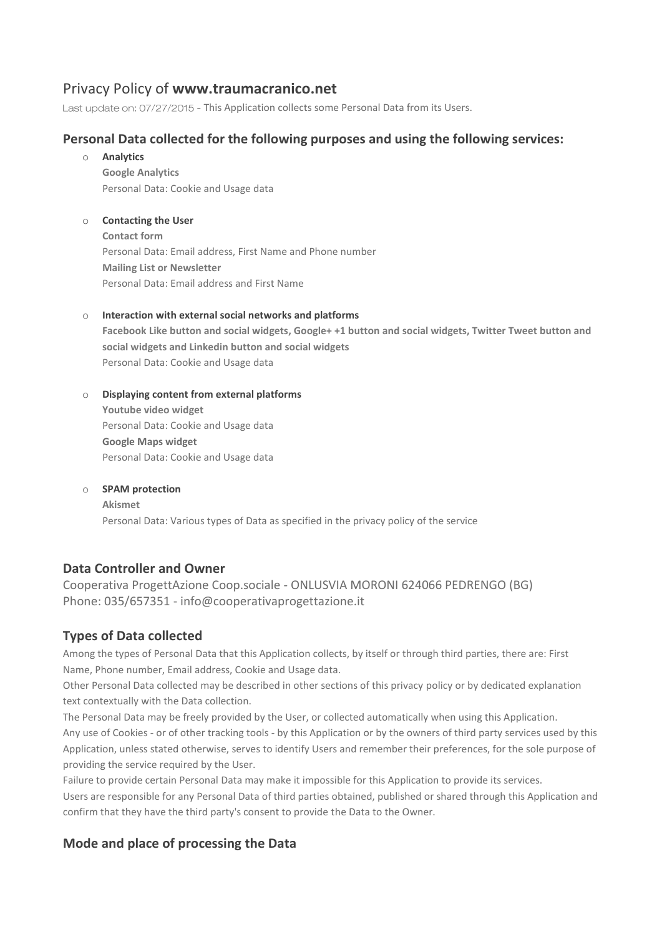# Privacy Policy of **www.traumacranico.net**

Last update on: 07/27/2015 - This Application collects some Personal Data from its Users.

# **Personal Data collected for the following purposes and using the following services:**

o **Analytics**

**Google Analytics** Personal Data: Cookie and Usage data

## o **Contacting the User**

**Contact form** Personal Data: Email address, First Name and Phone number **Mailing List or Newsletter** Personal Data: Email address and First Name

## o **Interaction with external social networks and platforms**

**Facebook Like button and social widgets, Google+ +1 button and social widgets, Twitter Tweet button and social widgets and Linkedin button and social widgets** Personal Data: Cookie and Usage data

## o **Displaying content from external platforms**

**Youtube video widget** Personal Data: Cookie and Usage data **Google Maps widget** Personal Data: Cookie and Usage data

## o **SPAM protection Akismet** Personal Data: Various types of Data as specified in the privacy policy of the service

## **Data Controller and Owner**

Cooperativa ProgettAzione Coop.sociale - ONLUSVIA MORONI 624066 PEDRENGO (BG) Phone: 035/657351 - [info@cooperativaprogettazione.it](mailto:info@cooperativaprogettazione.it)

# **Types of Data collected**

Among the types of Personal Data that this Application collects, by itself or through third parties, there are: First Name, Phone number, Email address, Cookie and Usage data.

Other Personal Data collected may be described in other sections of this privacy policy or by dedicated explanation text contextually with the Data collection.

The Personal Data may be freely provided by the User, or collected automatically when using this Application. Any use of Cookies - or of other tracking tools - by this Application or by the owners of third party services used by this Application, unless stated otherwise, serves to identify Users and remember their preferences, for the sole purpose of providing the service required by the User.

Failure to provide certain Personal Data may make it impossible for this Application to provide its services.

Users are responsible for any Personal Data of third parties obtained, published or shared through this Application and confirm that they have the third party's consent to provide the Data to the Owner.

# **Mode and place of processing the Data**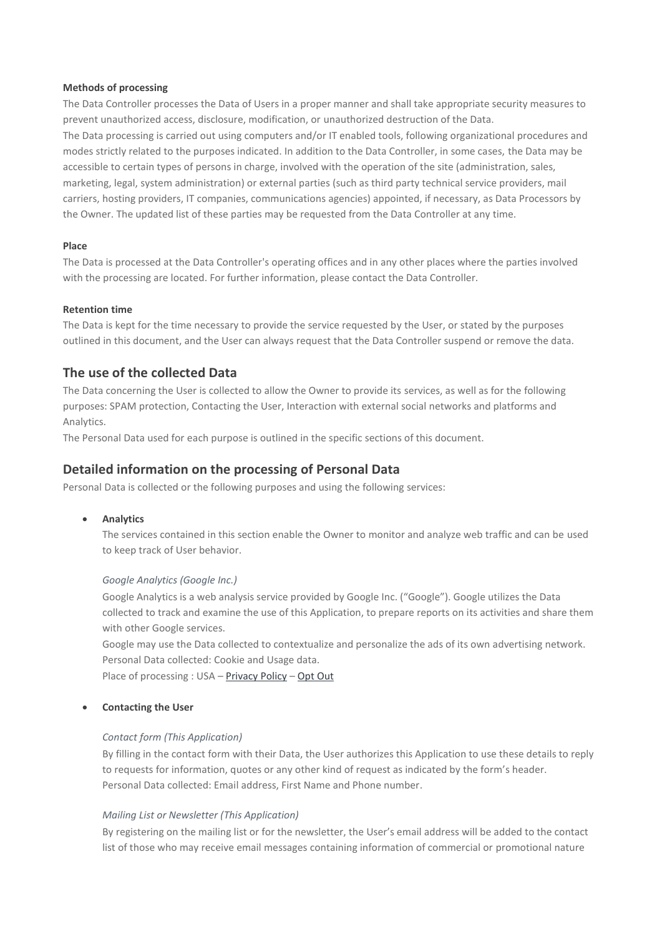#### **Methods of processing**

The Data Controller processes the Data of Users in a proper manner and shall take appropriate security measures to prevent unauthorized access, disclosure, modification, or unauthorized destruction of the Data. The Data processing is carried out using computers and/or IT enabled tools, following organizational procedures and modes strictly related to the purposes indicated. In addition to the Data Controller, in some cases, the Data may be accessible to certain types of persons in charge, involved with the operation of the site (administration, sales, marketing, legal, system administration) or external parties (such as third party technical service providers, mail carriers, hosting providers, IT companies, communications agencies) appointed, if necessary, as Data Processors by the Owner. The updated list of these parties may be requested from the Data Controller at any time.

#### **Place**

The Data is processed at the Data Controller's operating offices and in any other places where the parties involved with the processing are located. For further information, please contact the Data Controller.

#### **Retention time**

The Data is kept for the time necessary to provide the service requested by the User, or stated by the purposes outlined in this document, and the User can always request that the Data Controller suspend or remove the data.

## **The use of the collected Data**

The Data concerning the User is collected to allow the Owner to provide its services, as well as for the following purposes: SPAM protection, Contacting the User, Interaction with external social networks and platforms and Analytics.

The Personal Data used for each purpose is outlined in the specific sections of this document.

## **Detailed information on the processing of Personal Data**

Personal Data is collected or the following purposes and using the following services:

**• Analytics** 

The services contained in this section enable the Owner to monitor and analyze web traffic and can be used to keep track of User behavior.

#### *Google Analytics (Google Inc.)*

Google Analytics is a web analysis service provided by Google Inc. ("Google"). Google utilizes the Data collected to track and examine the use of this Application, to prepare reports on its activities and share them with other Google services.

Google may use the Data collected to contextualize and personalize the ads of its own advertising network. Personal Data collected: Cookie and Usage data.

Place of processing : USA – [Privacy](http://www.google.com/intl/en/policies/privacy/) Policy – [Opt](http://tools.google.com/dlpage/gaoptout?hl=en) Out

#### **Contacting the User**

#### *Contact form (This Application)*

By filling in the contact form with their Data, the User authorizes this Application to use these details to reply to requests for information, quotes or any other kind of request as indicated by the form's header. Personal Data collected: Email address, First Name and Phone number.

## *Mailing List or Newsletter (This Application)*

By registering on the mailing list or for the newsletter, the User's email address will be added to the contact list of those who may receive email messages containing information of commercial or promotional nature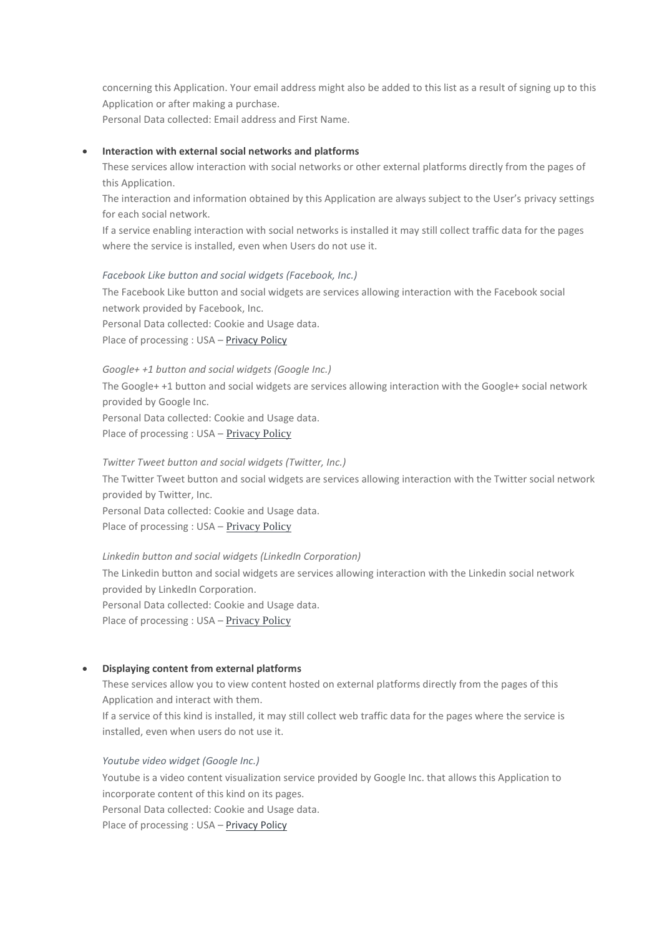concerning this Application. Your email address might also be added to this list as a result of signing up to this Application or after making a purchase.

Personal Data collected: Email address and First Name.

#### **Interaction with external social networks and platforms**

These services allow interaction with social networks or other external platforms directly from the pages of this Application.

The interaction and information obtained by this Application are always subject to the User's privacy settings for each social network.

If a service enabling interaction with social networks is installed it may still collect traffic data for the pages where the service is installed, even when Users do not use it.

#### *Facebook Like button and social widgets (Facebook, Inc.)*

The Facebook Like button and social widgets are services allowing interaction with the Facebook social network provided by Facebook, Inc. Personal Data collected: Cookie and Usage data. Place of processing : USA - [Privacy](http://www.facebook.com/privacy/explanation.php) Policy

#### *Google+ +1 button and social widgets (Google Inc.)*

The Google+ +1 button and social widgets are services allowing interaction with the Google+ social network provided by Google Inc.

Personal Data collected: Cookie and Usage data.

Place of processing : USA - [Privacy](http://www.google.com/intl/en/policies/privacy/) Policy

#### *Twitter Tweet button and social widgets (Twitter, Inc.)*

The Twitter Tweet button and social widgets are services allowing interaction with the Twitter social network provided by Twitter, Inc. Personal Data collected: Cookie and Usage data.

Place of processing : USA – [Privacy](http://twitter.com/privacy) Policy

*Linkedin button and social widgets (LinkedIn Corporation)* The Linkedin button and social widgets are services allowing interaction with the Linkedin social network provided by LinkedIn Corporation. Personal Data collected: Cookie and Usage data. Place of processing : USA – [Privacy](https://www.linkedin.com/legal/privacy-policy) Policy

#### **Displaying content from external platforms**

These services allow you to view content hosted on external platforms directly from the pages of this Application and interact with them.

If a service of this kind is installed, it may still collect web traffic data for the pages where the service is installed, even when users do not use it.

#### *Youtube video widget (Google Inc.)*

Youtube is a video content visualization service provided by Google Inc. that allows this Application to incorporate content of this kind on its pages.

Personal Data collected: Cookie and Usage data.

Place of processing : USA - [Privacy](http://www.google.it/intl/en/policies/privacy/) Policy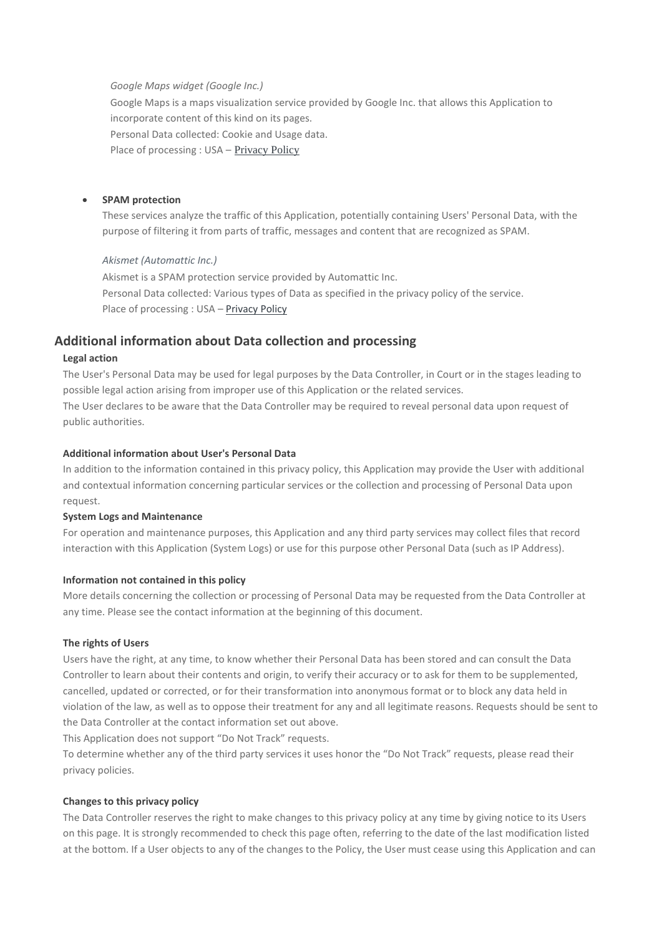*Google Maps widget (Google Inc.)*

Google Maps is a maps visualization service provided by Google Inc. that allows this Application to incorporate content of this kind on its pages.

Personal Data collected: Cookie and Usage data.

Place of processing : USA – [Privacy](http://www.google.it/intl/en/policies/privacy/) Policy

## **SPAM protection**

These services analyze the traffic of this Application, potentially containing Users' Personal Data, with the purpose of filtering it from parts of traffic, messages and content that are recognized as SPAM.

## *Akismet (Automattic Inc.)*

Akismet is a SPAM protection service provided by Automattic Inc. Personal Data collected: Various types of Data as specified in the privacy policy of the service. Place of processing : USA – [Privacy](http://automattic.com/privacy/) Policy

# **Additional information about Data collection and processing**

## **Legal action**

The User's Personal Data may be used for legal purposes by the Data Controller, in Court or in the stages leading to possible legal action arising from improper use of this Application or the related services. The User declares to be aware that the Data Controller may be required to reveal personal data upon request of public authorities.

## **Additional information about User's Personal Data**

In addition to the information contained in this privacy policy, this Application may provide the User with additional and contextual information concerning particular services or the collection and processing of Personal Data upon request.

## **System Logs and Maintenance**

For operation and maintenance purposes, this Application and any third party services may collect files that record interaction with this Application (System Logs) or use for this purpose other Personal Data (such as IP Address).

## **Information not contained in this policy**

More details concerning the collection or processing of Personal Data may be requested from the Data Controller at any time. Please see the contact information at the beginning of this document.

## **The rights of Users**

Users have the right, at any time, to know whether their Personal Data has been stored and can consult the Data Controller to learn about their contents and origin, to verify their accuracy or to ask for them to be supplemented, cancelled, updated or corrected, or for their transformation into anonymous format or to block any data held in violation of the law, as well as to oppose their treatment for any and all legitimate reasons. Requests should be sent to the Data Controller at the contact information set out above.

This Application does not support "Do Not Track" requests.

To determine whether any of the third party services it uses honor the "Do Not Track" requests, please read their privacy policies.

## **Changes to this privacy policy**

The Data Controller reserves the right to make changes to this privacy policy at any time by giving notice to its Users on this page. It is strongly recommended to check this page often, referring to the date of the last modification listed at the bottom. If a User objects to any of the changes to the Policy, the User must cease using this Application and can